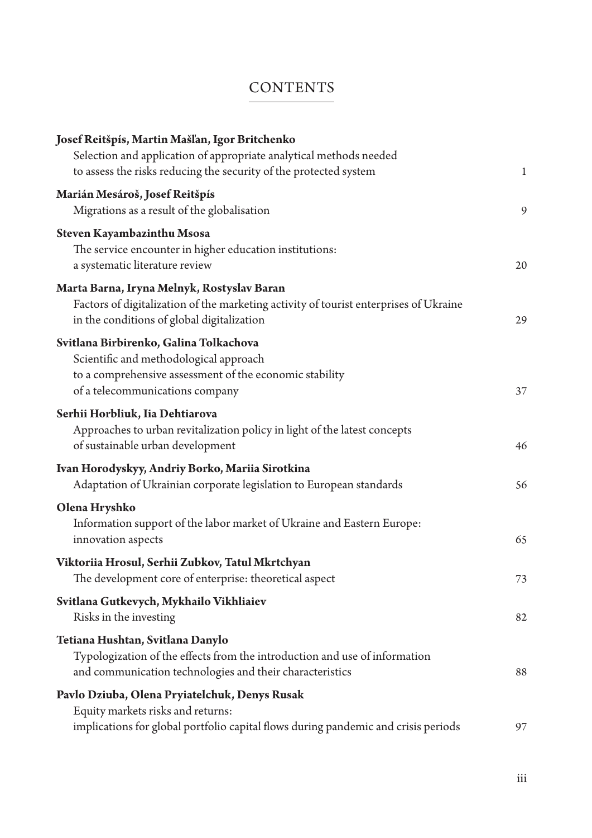## **CONTENTS**

| Josef Reitšpís, Martin Mašľan, Igor Britchenko<br>Selection and application of appropriate analytical methods needed                                                              |              |
|-----------------------------------------------------------------------------------------------------------------------------------------------------------------------------------|--------------|
| to assess the risks reducing the security of the protected system                                                                                                                 | $\mathbf{1}$ |
| Marián Mesároš, Josef Reitšpís<br>Migrations as a result of the globalisation                                                                                                     | 9            |
| Steven Kayambazinthu Msosa<br>The service encounter in higher education institutions:<br>a systematic literature review                                                           | 20           |
| Marta Barna, Iryna Melnyk, Rostyslav Baran<br>Factors of digitalization of the marketing activity of tourist enterprises of Ukraine<br>in the conditions of global digitalization | 29           |
| Svitlana Birbirenko, Galina Tolkachova<br>Scientific and methodological approach<br>to a comprehensive assessment of the economic stability<br>of a telecommunications company    | 37           |
| Serhii Horbliuk, Iia Dehtiarova<br>Approaches to urban revitalization policy in light of the latest concepts<br>of sustainable urban development                                  | 46           |
| Ivan Horodyskyy, Andriy Borko, Mariia Sirotkina<br>Adaptation of Ukrainian corporate legislation to European standards                                                            | 56           |
| Olena Hryshko<br>Information support of the labor market of Ukraine and Eastern Europe:<br>innovation aspects                                                                     | 65           |
| Viktoriia Hrosul, Serhii Zubkov, Tatul Mkrtchyan<br>The development core of enterprise: theoretical aspect                                                                        | 73           |
| Svitlana Gutkevych, Mykhailo Vikhliaiev<br>Risks in the investing                                                                                                                 | 82           |
| Tetiana Hushtan, Svitlana Danylo<br>Typologization of the effects from the introduction and use of information<br>and communication technologies and their characteristics        | 88           |
| Pavlo Dziuba, Olena Pryiatelchuk, Denys Rusak<br>Equity markets risks and returns:<br>implications for global portfolio capital flows during pandemic and crisis periods          | 97           |